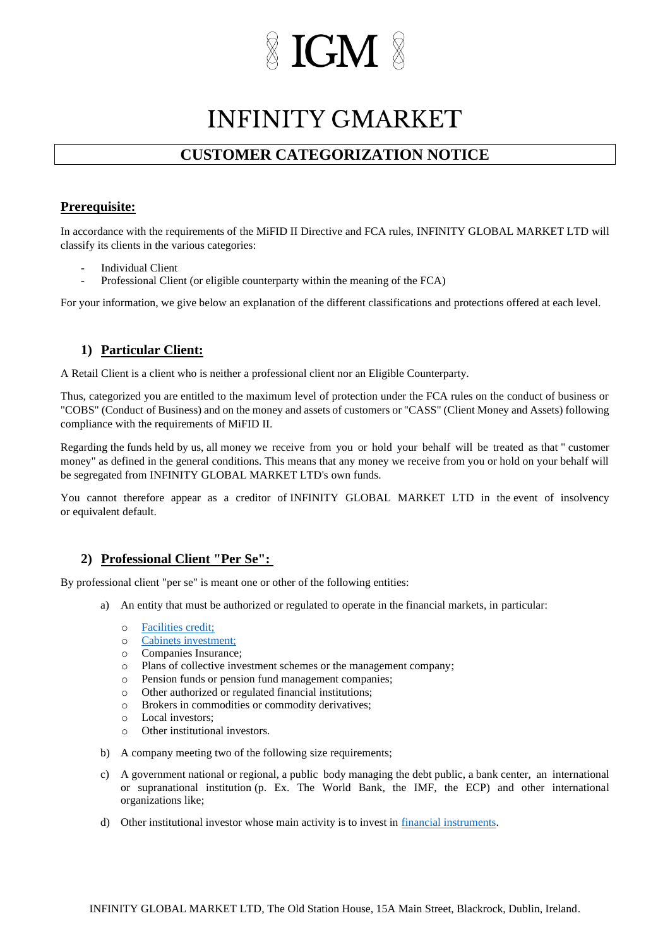# **IGM**

### **INFINITY GMARKET**

### **CUSTOMER CATEGORIZATION NOTICE**

### **Prerequisite:**

In accordance with the requirements of the MiFID II Directive and FCA rules, INFINITY GLOBAL MARKET LTD will classify its clients in the various categories:

- Individual Client
- Professional Client (or eligible counterparty within the meaning of the FCA)

For your information, we give below an explanation of the different classifications and protections offered at each level.

### **1) Particular Client:**

A Retail Client is a client who is neither a professional client nor an Eligible Counterparty.

Thus, categorized you are entitled to the maximum level of protection under the FCA rules on the conduct of business or "COBS" (Conduct of Business) and on the money and assets of customers or "CASS" (Client Money and Assets) following compliance with the requirements of MiFID II.

Regarding the funds held by us, all money we receive from you or hold your behalf will be treated as that " customer money" as defined in the general conditions. This means that any money we receive from you or hold on your behalf will be segregated from INFINITY GLOBAL MARKET LTD's own funds.

You cannot therefore appear as a creditor of INFINITY GLOBAL MARKET LTD in the event of insolvency or equivalent default.

### **2) Professional Client "Per Se":**

By professional client "per se" is meant one or other of the following entities:

- a) An entity that must be authorized or regulated to operate in the financial markets, in particular:
	- o [Facilities](https://www.handbook.fca.org.uk/handbook/glossary/G239.html) [credit;](https://translate.google.com/translate?hl=fr&prev=_t&sl=fr&tl=en&u=https://www.handbook.fca.org.uk/handbook/glossary/G239.html)
	- o [Cabinets](https://www.handbook.fca.org.uk/handbook/glossary/G596.html) [investment;](https://translate.google.com/translate?hl=fr&prev=_t&sl=fr&tl=en&u=https://www.handbook.fca.org.uk/handbook/glossary/G596.html)
	- o Companies Insurance;
	- o Plans of collective investment schemes or the management company;
	- o Pension funds or pension fund management companies;
	- o Other authorized or regulated financial institutions;
	- o Brokers in commodities or commodity derivatives;
	- o Local investors;
	- o Other institutional investors.
- b) A company meeting two of the following size requirements;
- c) A government national or regional, a public body managing the debt public, a bank center, an international or supranational institution (p. Ex. The World Bank, the IMF, the ECP) and other international organizations like;
- d) Other institutional investor whose main activity is to invest in financial [instruments.](https://www.handbook.fca.org.uk/handbook/glossary/G1519.html)